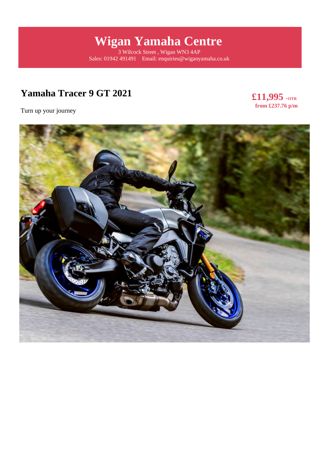# **Wigan Yamaha Centre**

3 Wilcock Street , Wigan WN3 4AP Sales: 01942 491491 Email: enquiries@wiganyamaha.co.uk

# **Yamaha Tracer 9 GT 2021**

**£11,995 +OTR from £237.76 p/m** 

Turn up your journey

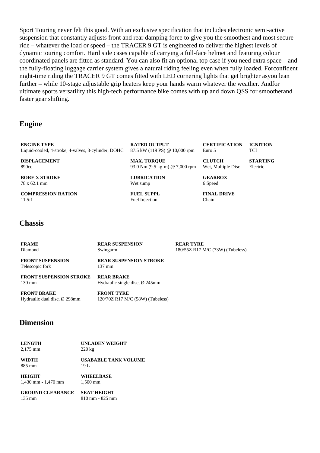Sport Touring never felt this good. With an exclusive specification that includes electronic semi-active suspension that constantly adjusts front and rear damping force to give you the smoothest and most secure ride – whatever the load or speed – the TRACER 9 GT is engineered to deliver the highest levels of dynamic touring comfort. Hard side cases capable of carrying a full-face helmet and featuring colour coordinated panels are fitted as standard. You can also fit an optional top case if you need extra space – and the fully-floating luggage carrier system gives a natural riding feeling even when fully loaded. Forconfident night-time riding the TRACER 9 GT comes fitted with LED cornering lights that get brighter asyou lean further – while 10-stage adjustable grip heaters keep your hands warm whatever the weather. Andfor ultimate sports versatility this high-tech performance bike comes with up and down QSS for smootherand faster gear shifting.

### **Engine**

**ENGINE TYPE** Liquid-cooled, 4-stroke, 4-valves, 3-cylinder, DOHC

**DISPLACEMENT** 890cc

**BORE X STROKE**

78 x 62.1 mm

**COMPRESSION RATION**  $11.5:1$ 

**RATED OUTPUT** 87.5 kW (119 PS) @ 10,000 rpm

**MAX. TORQUE** 93.0 Nm (9.5 kg-m) @ 7,000 rpm

**LUBRICATION** Wet sump

**FUEL SUPPL** Fuel Injection

#### **CERTIFICATION** Euro 5 **IGNITION TCI**

**CLUTCH** Wet, Multiple Disc **STARTING** Electric

**GEARBOX** 6 Speed

**FINAL DRIVE** Chain

#### **Chassis**

| <b>FRAME</b>                               | <b>REAR SUSPENSION</b>                            | <b>REAR TYRE</b>                 |
|--------------------------------------------|---------------------------------------------------|----------------------------------|
| Diamond                                    | Swingarm                                          | 180/55Z R17 M/C (73W) (Tubeless) |
| <b>FRONT SUSPENSION</b><br>Telescopic fork | <b>REAR SUSPENSION STROKE</b><br>$137 \text{ mm}$ |                                  |
| <b>FRONT SUSPENSION STROKE</b>             | <b>REAR BRAKE</b>                                 |                                  |
| $130 \text{ mm}$                           | Hydraulic single disc, $\varnothing$ 245mm        |                                  |
|                                            | -------------                                     |                                  |

**FRONT BRAKE** Hydraulic dual disc, Ø 298mm

**FRONT TYRE** 120/70Z R17 M/C (58W) (Tubeless)

#### **Dimension**

| <b>LENGTH</b>           | <b>UNLADEN WEIGHT</b> |
|-------------------------|-----------------------|
| $2,175$ mm              | $220 \text{ kg}$      |
| <b>WIDTH</b>            | USABABLE TANK VOLUME  |
| 885 mm                  | 19 L                  |
| <b>HEIGHT</b>           | WHEELBASE             |
| $1,430$ mm - $1,470$ mm | 1.500 mm              |

**GROUND CLEARANCE** 135 mm **SEAT HEIGHT** 810 mm - 825 mm